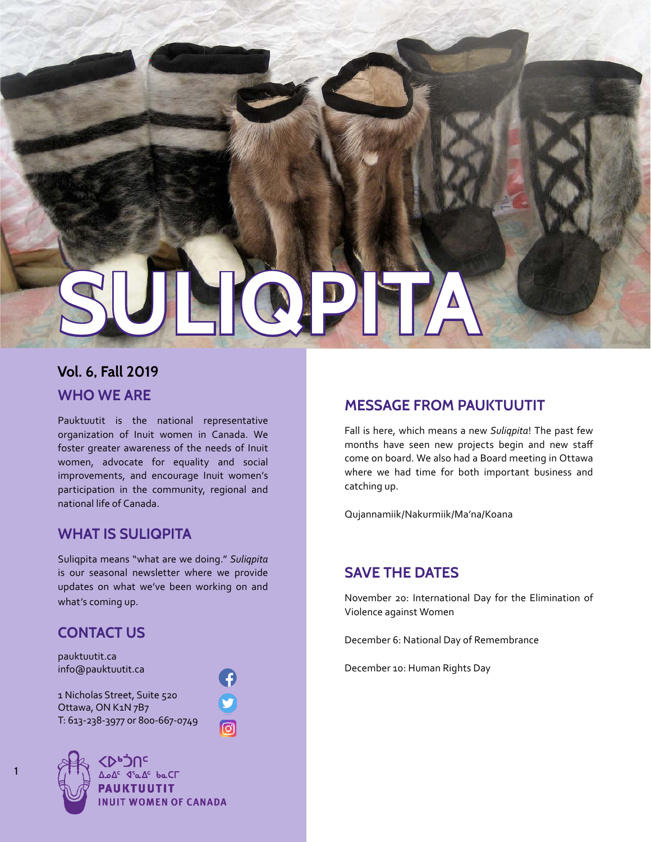

### **WHO WE ARE Vol. 6, Fall 2019**

Pauktuutit is the national representative organization of Inuit women in Canada. We foster greater awareness of the needs of Inuit women, advocate for equality and social improvements, and encourage Inuit women's participation in the community, regional and national life of Canada.

### **WHAT IS SULIQPITA**

Suliqpita means "what are we doing." *Suliqpita*  is our seasonal newsletter where we provide updates on what we've been working on and what's coming up.

### **CONTACT US**

pauktuutit.ca info@pauktuutit.ca

1 Nicholas Street, Suite 520 Ottawa, ON K1N 7B7 T: 613-238-3977 or 800-667-0749





<mark>∆ه∆<sup>د</sup> ⊄'م∆<sup>د</sup> له دا</mark> **PAUKTUUTIT INUIT WOMEN OF CANADA** 

### **MESSAGE FROM PAUKTUUTIT**

Fall is here, which means a new *Suliqpita*! The past few months have seen new projects begin and new staff come on board. We also had a Board meeting in Ottawa where we had time for both important business and catching up.

Qujannamiik/Nakurmiik/Ma'na/Koana

#### **SAVE THE DATES**

November 20: International Day for the Elimination of Violence against Women

December 6: National Day of Remembrance

December 10: Human Rights Day



1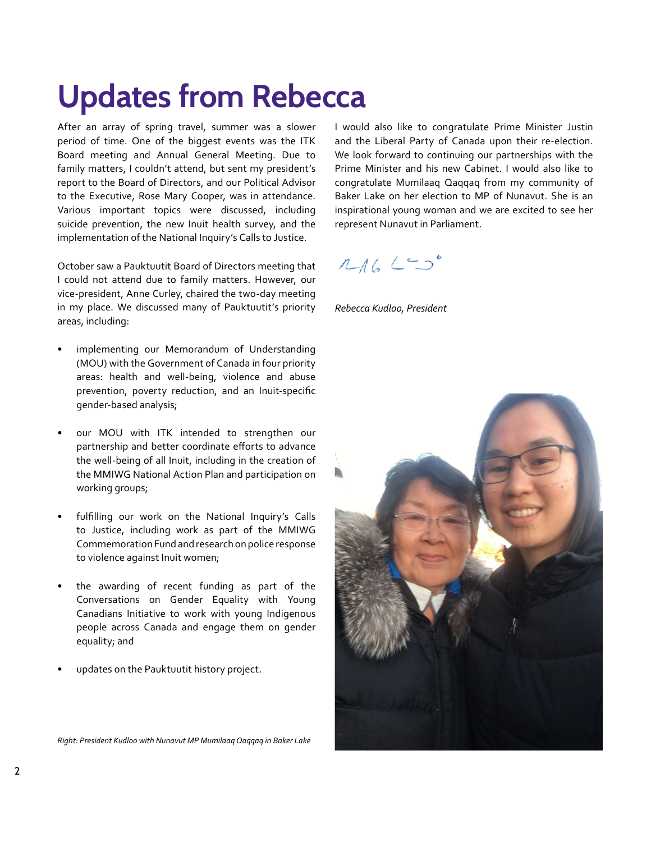## **Updates from Rebecca**

After an array of spring travel, summer was a slower period of time. One of the biggest events was the ITK Board meeting and Annual General Meeting. Due to family matters, I couldn't attend, but sent my president's report to the Board of Directors, and our Political Advisor to the Executive, Rose Mary Cooper, was in attendance. Various important topics were discussed, including suicide prevention, the new Inuit health survey, and the implementation of the National Inquiry's Calls to Justice.

October saw a Pauktuutit Board of Directors meeting that I could not attend due to family matters. However, our vice-president, Anne Curley, chaired the two-day meeting in my place. We discussed many of Pauktuutit's priority areas, including:

- implementing our Memorandum of Understanding (MOU) with the Government of Canada in four priority areas: health and well-being, violence and abuse prevention, poverty reduction, and an Inuit-specific gender-based analysis;
- our MOU with ITK intended to strengthen our partnership and better coordinate efforts to advance the well-being of all Inuit, including in the creation of the MMIWG National Action Plan and participation on working groups;
- fulfilling our work on the National Inquiry's Calls to Justice, including work as part of the MMIWG Commemoration Fund and research on police response to violence against Inuit women;
- the awarding of recent funding as part of the Conversations on Gender Equality with Young Canadians Initiative to work with young Indigenous people across Canada and engage them on gender equality; and
- updates on the Pauktuutit history project.

I would also like to congratulate Prime Minister Justin and the Liberal Party of Canada upon their re-election. We look forward to continuing our partnerships with the Prime Minister and his new Cabinet. I would also like to congratulate Mumilaaq Qaqqaq from my community of Baker Lake on her election to MP of Nunavut. She is an inspirational young woman and we are excited to see her represent Nunavut in Parliament.

### $14620$

*Rebecca Kudloo, President*



*Right: President Kudloo with Nunavut MP Mumilaaq Qaqqaq in Baker Lake*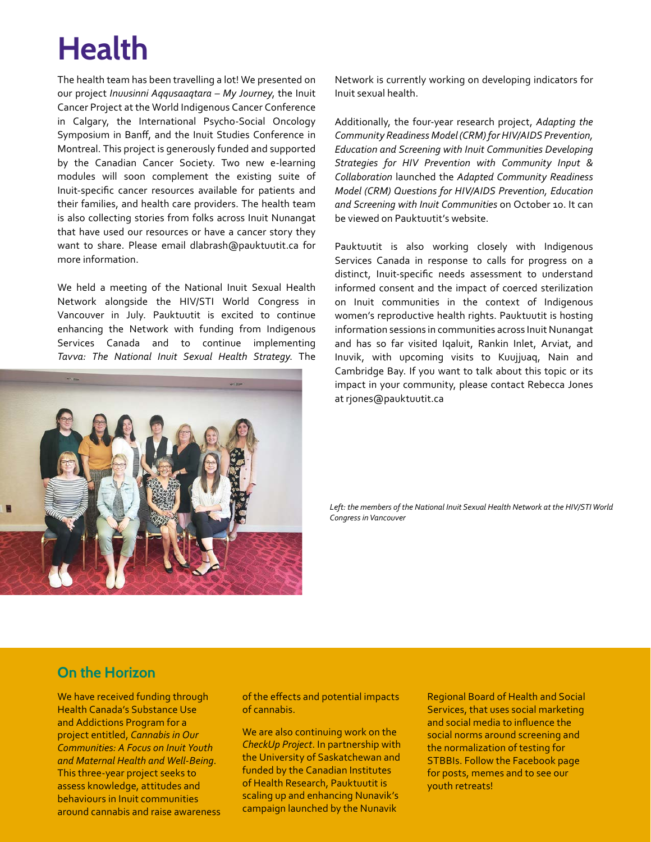# **Health**

The health team has been travelling a lot! We presented on our project *Inuusinni Aqqusaaqtara – My Journey*, the Inuit Cancer Project at the World Indigenous Cancer Conference in Calgary, the International Psycho-Social Oncology Symposium in Banff, and the Inuit Studies Conference in Montreal. This project is generously funded and supported by the Canadian Cancer Society. Two new e-learning modules will soon complement the existing suite of Inuit-specific cancer resources available for patients and their families, and health care providers. The health team is also collecting stories from folks across Inuit Nunangat that have used our resources or have a cancer story they want to share. Please email dlabrash@pauktuutit.ca for more information.

We held a meeting of the National Inuit Sexual Health Network alongside the HIV/STI World Congress in Vancouver in July. Pauktuutit is excited to continue enhancing the Network with funding from Indigenous Services Canada and to continue implementing *Tavva: The National Inuit Sexual Health Strategy*. The



Network is currently working on developing indicators for Inuit sexual health.

Additionally, the four-year research project, *Adapting the Community Readiness Model (CRM) for HIV/AIDS Prevention, Education and Screening with Inuit Communities Developing Strategies for HIV Prevention with Community Input & Collaboration* launched the *Adapted Community Readiness Model (CRM) Questions for HIV/AIDS Prevention, Education and Screening with Inuit Communities* on October 10. It can be viewed on Pauktuutit's website.

Pauktuutit is also working closely with Indigenous Services Canada in response to calls for progress on a distinct, Inuit-specific needs assessment to understand informed consent and the impact of coerced sterilization on Inuit communities in the context of Indigenous women's reproductive health rights. Pauktuutit is hosting information sessions in communities across Inuit Nunangat and has so far visited Iqaluit, Rankin Inlet, Arviat, and Inuvik, with upcoming visits to Kuujjuaq, Nain and Cambridge Bay. If you want to talk about this topic or its impact in your community, please contact Rebecca Jones at rjones@pauktuutit.ca

Left: the members of the National Inuit Sexual Health Network at the HIV/STI World *Congress in Vancouver*

#### **On the Horizon**

We have received funding through Health Canada's Substance Use and Addictions Program for a project entitled, *Cannabis in Our Communities: A Focus on Inuit Youth and Maternal Health and Well-Being*. This three-year project seeks to assess knowledge, attitudes and behaviours in Inuit communities around cannabis and raise awareness of the effects and potential impacts of cannabis.

We are also continuing work on the *CheckUp Project*. In partnership with the University of Saskatchewan and funded by the Canadian Institutes of Health Research, Pauktuutit is scaling up and enhancing Nunavik's campaign launched by the Nunavik

Regional Board of Health and Social Services, that uses social marketing and social media to influence the social norms around screening and the normalization of testing for STBBIs. Follow the Facebook page for posts, memes and to see our youth retreats!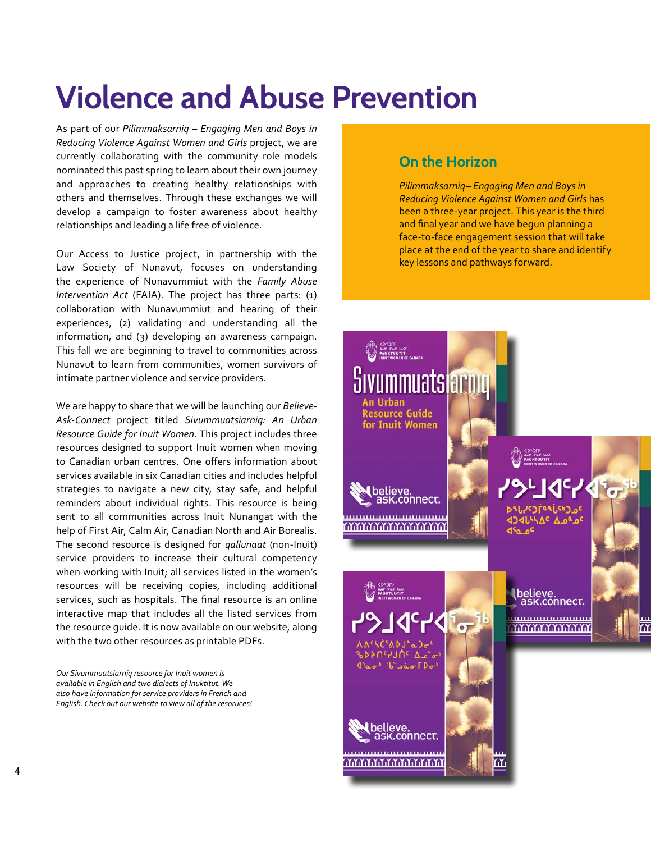## **Violence and Abuse Prevention**

As part of our *Pilimmaksarniq – Engaging Men and Boys in Reducing Violence Against Women and Girls* project, we are currently collaborating with the community role models nominated this past spring to learn about their own journey and approaches to creating healthy relationships with others and themselves. Through these exchanges we will develop a campaign to foster awareness about healthy relationships and leading a life free of violence.

Our Access to Justice project, in partnership with the Law Society of Nunavut, focuses on understanding the experience of Nunavummiut with the *Family Abuse Intervention Act* (FAIA). The project has three parts: (1) collaboration with Nunavummiut and hearing of their experiences, (2) validating and understanding all the information, and (3) developing an awareness campaign. This fall we are beginning to travel to communities across Nunavut to learn from communities, women survivors of intimate partner violence and service providers.

We are happy to share that we will be launching our *Believe-Ask-Connect* project titled *Sivummuatsiarniq: An Urban Resource Guide for Inuit Women*. This project includes three resources designed to support Inuit women when moving to Canadian urban centres. One offers information about services available in six Canadian cities and includes helpful strategies to navigate a new city, stay safe, and helpful reminders about individual rights. This resource is being sent to all communities across Inuit Nunangat with the help of First Air, Calm Air, Canadian North and Air Borealis. The second resource is designed for *qallunaat* (non-Inuit) service providers to increase their cultural competency when working with Inuit; all services listed in the women's resources will be receiving copies, including additional services, such as hospitals. The final resource is an online interactive map that includes all the listed services from the resource guide. It is now available on our website, along with the two other resources as printable PDFs.

*Our Sivummuatsiarniq resource for Inuit women is available in English and two dialects of Inuktitut. We also have information for service providers in French and English. Check out our website to view all of the resoruces!*

#### **On the Horizon**

*Pilimmaksarniq– Engaging Men and Boys in Reducing Violence Against Women and Girls* has been a three-year project. This year is the third and final year and we have begun planning a face-to-face engagement session that will take place at the end of the year to share and identify key lessons and pathways forward.